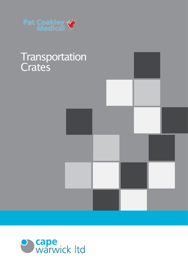

## **Transportation Crates**